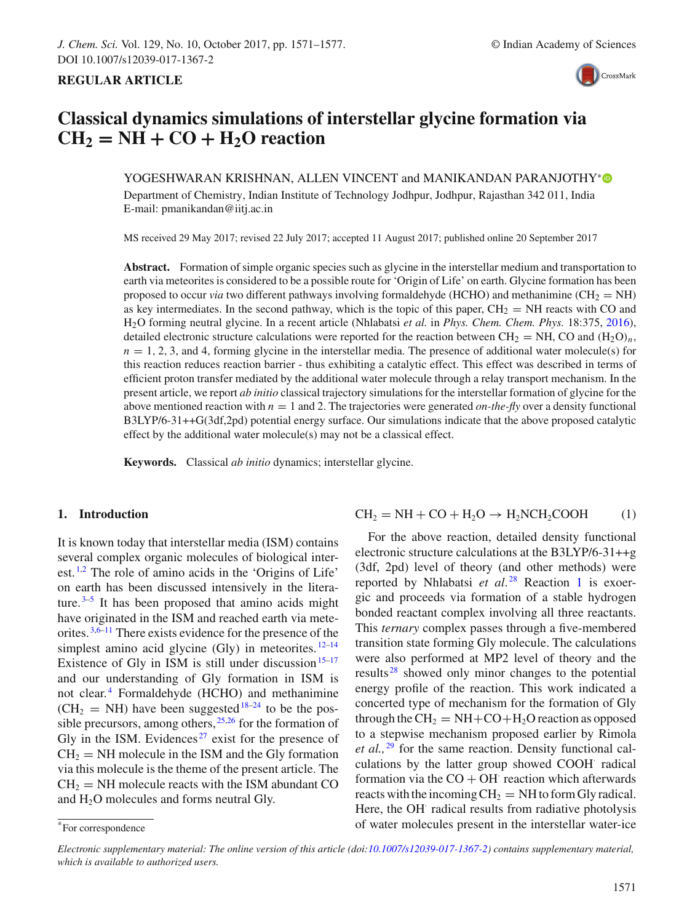

# **Classical dynamics simulations of interstellar glycine formation via**  $CH_2 = NH + CO + H_2O$  reaction

YOGESHWARAN KRISHNAN, ALLEN VINCENT and MANIKANDAN PARANJOTHY<sup>∗</sup>® Department of Chemistry, Indian Institute of Technology Jodhpur, Jodhpur, Rajasthan 342 011, India E-mail: pmanikandan@iitj.ac.in

MS received 29 May 2017; revised 22 July 2017; accepted 11 August 2017; published online 20 September 2017

**Abstract.** Formation of simple organic species such as glycine in the interstellar medium and transportation to earth via meteorites is considered to be a possible route for 'Origin of Life' on earth. Glycine formation has been proposed to occur *via* two different pathways involving formaldehyde (HCHO) and methanimine (CH<sub>2</sub> = NH) as key intermediates. In the second pathway, which is the topic of this paper,  $CH_2 = NH$  reacts with CO and H2O forming neutral glycine. In a recent article (Nhlabatsi *et al.* in *Phys. Chem. Chem. Phys.* 18:375, 2016), detailed electronic structure calculations were reported for the reaction between  $CH_2 = NH$ , CO and  $(H_2O)<sub>n</sub>$ ,  $n = 1, 2, 3$ , and 4, forming glycine in the interstellar media. The presence of additional water molecule(s) for this reaction reduces reaction barrier - thus exhibiting a catalytic effect. This effect was described in terms of efficient proton transfer mediated by the additional water molecule through a relay transport mechanism. In the present article, we report *ab initio* classical trajectory simulations for the interstellar formation of glycine for the above mentioned reaction with *n* = 1 and 2. The trajectories were generated *on-the-fly* over a density functional B3LYP/6-31++G(3df,2pd) potential energy surface. Our simulations indicate that the above proposed catalytic effect by the additional water molecule(s) may not be a classical effect.

**Keywords.** Classical *ab initio* dynamics; interstellar glycine.

# **1. Introduction**

It is known today that interstellar media (ISM) contains several complex organic molecules of biological interest.<sup>1,2</sup> The role of amino acids in the 'Origins of Life' on earth has been discussed intensively in the literature. $3-5$  It has been proposed that amino acids might have originated in the ISM and reached earth via meteorites. 3,6–11 There exists evidence for the presence of the simplest amino acid glycine (Gly) in meteorites.  $12-14$ Existence of Gly in ISM is still under discussion<sup>15–17</sup> and our understanding of Gly formation in ISM is not clear. <sup>4</sup> Formaldehyde (HCHO) and methanimine  $(CH<sub>2</sub> = NH)$  have been suggested<sup>18-24</sup> to be the possible precursors, among others,  $25,26$  for the formation of Gly in the ISM. Evidences<sup> $27$ </sup> exist for the presence of  $CH<sub>2</sub> = NH$  molecule in the ISM and the Gly formation via this molecule is the theme of the present article. The  $CH<sub>2</sub> = NH$  molecule reacts with the ISM abundant CO and  $H_2O$  molecules and forms neutral Gly.

$$
CH2 = NH + CO + H2O \rightarrow H2NCH2COOH
$$
 (1)

For the above reaction, detailed density functional electronic structure calculations at the B3LYP/6-31++g (3df, 2pd) level of theory (and other methods) were reported by Nhlabatsi *et al*. <sup>28</sup> Reaction 1 is exoergic and proceeds via formation of a stable hydrogen bonded reactant complex involving all three reactants. This *ternary* complex passes through a five-membered transition state forming Gly molecule. The calculations were also performed at MP2 level of theory and the results  $28$  showed only minor changes to the potential energy profile of the reaction. This work indicated a concerted type of mechanism for the formation of Gly through the  $CH_2 = NH + CO + H_2O$  reaction as opposed to a stepwise mechanism proposed earlier by Rimola *et al.*, <sup>29</sup> for the same reaction. Density functional calculations by the latter group showed COOH radical formation via the  $CO + OH$  reaction which afterwards reacts with the incoming  $CH_2 = NH$  to form Gly radical. Here, the OH radical results from radiative photolysis of water molecules present in the interstellar water-ice

<sup>\*</sup>For correspondence

*Electronic supplementary material: The online version of this article (doi:10.1007/s12039-017-1367-2) contains supplementary material, which is available to authorized users.*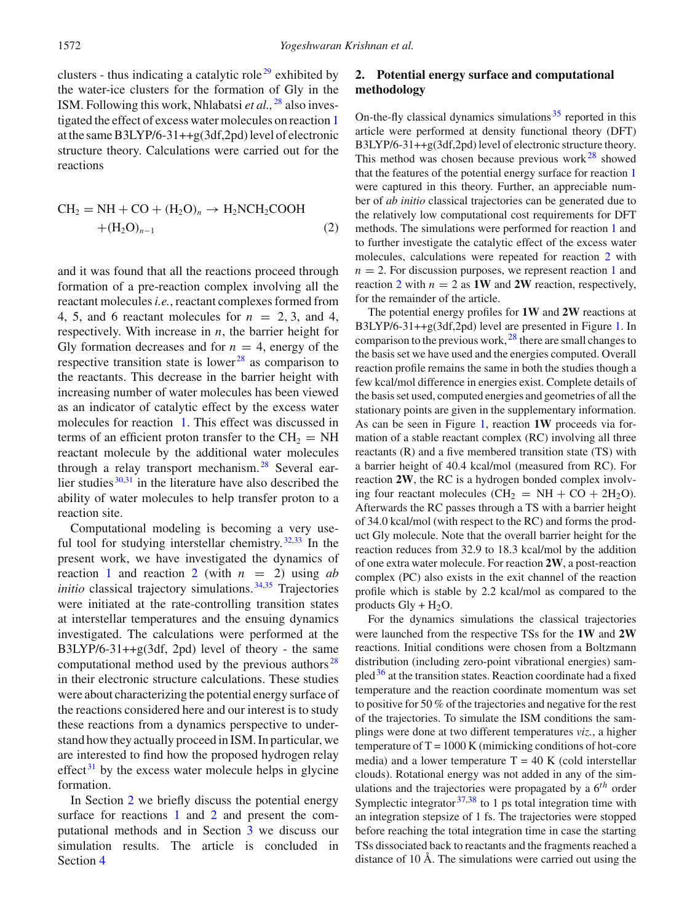clusters - thus indicating a catalytic role<sup>29</sup> exhibited by the water-ice clusters for the formation of Gly in the ISM. Following this work, Nhlabatsi *et al.,* <sup>28</sup> also investigated the effect of excess water molecules on reaction 1 at the same B3LYP/6-31++g(3df,2pd) level of electronic structure theory. Calculations were carried out for the reactions

$$
CH2 = NH + CO + (H2O)n \rightarrow H2NCH2COOH + (H2O)n-1
$$
 (2)

and it was found that all the reactions proceed through formation of a pre-reaction complex involving all the reactant molecules*i.e.*, reactant complexes formed from 4, 5, and 6 reactant molecules for  $n = 2, 3$ , and 4, respectively. With increase in *n*, the barrier height for Gly formation decreases and for  $n = 4$ , energy of the respective transition state is lower<sup>28</sup> as comparison to the reactants. This decrease in the barrier height with increasing number of water molecules has been viewed as an indicator of catalytic effect by the excess water molecules for reaction 1. This effect was discussed in terms of an efficient proton transfer to the  $CH<sub>2</sub> = NH$ reactant molecule by the additional water molecules through a relay transport mechanism.<sup>28</sup> Several earlier studies  $30,31$  in the literature have also described the ability of water molecules to help transfer proton to a reaction site.

Computational modeling is becoming a very useful tool for studying interstellar chemistry.  $32,33$  In the present work, we have investigated the dynamics of reaction 1 and reaction 2 (with  $n = 2$ ) using *ab initio* classical trajectory simulations.<sup>34,35</sup> Trajectories were initiated at the rate-controlling transition states at interstellar temperatures and the ensuing dynamics investigated. The calculations were performed at the B3LYP/6-31++g(3df, 2pd) level of theory - the same computational method used by the previous authors $^{28}$ in their electronic structure calculations. These studies were about characterizing the potential energy surface of the reactions considered here and our interest is to study these reactions from a dynamics perspective to understand how they actually proceed in ISM. In particular, we are interested to find how the proposed hydrogen relay effect $31$  by the excess water molecule helps in glycine formation.

In Section 2 we briefly discuss the potential energy surface for reactions 1 and 2 and present the computational methods and in Section 3 we discuss our simulation results. The article is concluded in Section 4

# **2. Potential energy surface and computational methodology**

On-the-fly classical dynamics simulations<sup>35</sup> reported in this article were performed at density functional theory (DFT) B3LYP/6-31++g(3df,2pd) level of electronic structure theory. This method was chosen because previous work $^{28}$  showed that the features of the potential energy surface for reaction 1 were captured in this theory. Further, an appreciable number of *ab initio* classical trajectories can be generated due to the relatively low computational cost requirements for DFT methods. The simulations were performed for reaction 1 and to further investigate the catalytic effect of the excess water molecules, calculations were repeated for reaction 2 with  $n = 2$ . For discussion purposes, we represent reaction 1 and reaction 2 with  $n = 2$  as **1W** and 2W reaction, respectively, for the remainder of the article.

The potential energy profiles for **1W** and **2W** reactions at B3LYP/6-31++g(3df,2pd) level are presented in Figure 1. In comparison to the previous work, <sup>28</sup> there are small changes to the basis set we have used and the energies computed. Overall reaction profile remains the same in both the studies though a few kcal/mol difference in energies exist. Complete details of the basis set used, computed energies and geometries of all the stationary points are given in the supplementary information. As can be seen in Figure 1, reaction **1W** proceeds via formation of a stable reactant complex (RC) involving all three reactants (R) and a five membered transition state (TS) with a barrier height of 40.4 kcal/mol (measured from RC). For reaction **2W**, the RC is a hydrogen bonded complex involving four reactant molecules ( $CH<sub>2</sub> = NH + CO + 2H<sub>2</sub>O$ ). Afterwards the RC passes through a TS with a barrier height of 34.0 kcal/mol (with respect to the RC) and forms the product Gly molecule. Note that the overall barrier height for the reaction reduces from 32.9 to 18.3 kcal/mol by the addition of one extra water molecule. For reaction **2W**, a post-reaction complex (PC) also exists in the exit channel of the reaction profile which is stable by 2.2 kcal/mol as compared to the products  $Gly + H<sub>2</sub>O$ .

For the dynamics simulations the classical trajectories were launched from the respective TSs for the **1W** and **2W** reactions. Initial conditions were chosen from a Boltzmann distribution (including zero-point vibrational energies) sampled $36$  at the transition states. Reaction coordinate had a fixed temperature and the reaction coordinate momentum was set to positive for 50 % of the trajectories and negative for the rest of the trajectories. To simulate the ISM conditions the samplings were done at two different temperatures *viz.*, a higher temperature of  $T = 1000$  K (mimicking conditions of hot-core media) and a lower temperature  $T = 40$  K (cold interstellar clouds). Rotational energy was not added in any of the simulations and the trajectories were propagated by a 6*th* order Symplectic integrator  $37,38$  to 1 ps total integration time with an integration stepsize of 1 fs. The trajectories were stopped before reaching the total integration time in case the starting TSs dissociated back to reactants and the fragments reached a distance of 10 Å. The simulations were carried out using the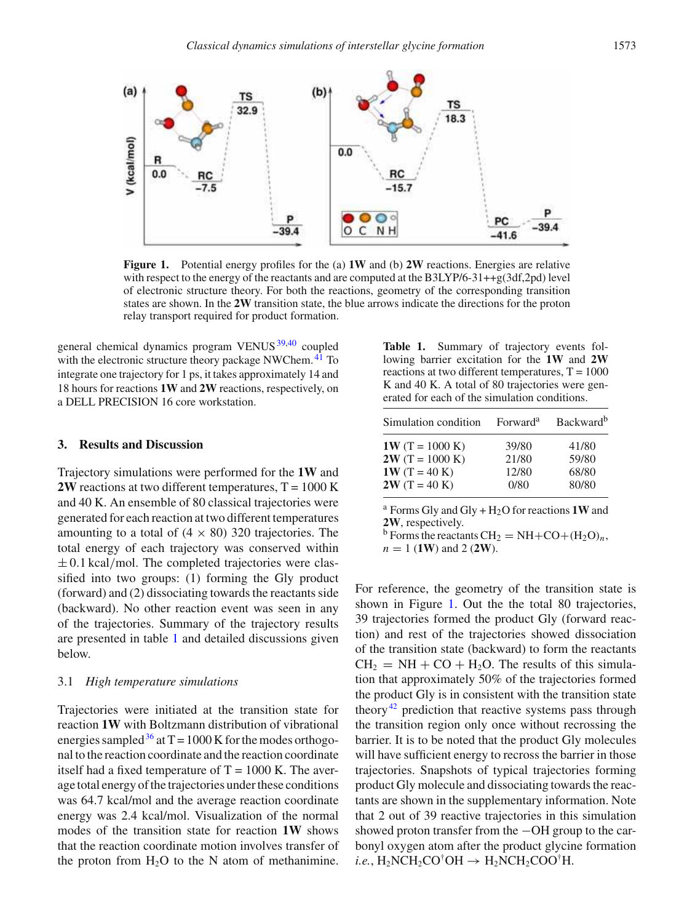

**Figure 1.** Potential energy profiles for the (a) **1W** and (b) **2W** reactions. Energies are relative with respect to the energy of the reactants and are computed at the B3LYP/6-31++g(3df,2pd) level of electronic structure theory. For both the reactions, geometry of the corresponding transition states are shown. In the **2W** transition state, the blue arrows indicate the directions for the proton relay transport required for product formation.

general chemical dynamics program VENUS<sup>39,40</sup> coupled with the electronic structure theory package NWChem.<sup>41</sup> To integrate one trajectory for 1 ps, it takes approximately 14 and 18 hours for reactions **1W** and **2W** reactions, respectively, on a DELL PRECISION 16 core workstation.

# **3. Results and Discussion**

Trajectory simulations were performed for the **1W** and **2W** reactions at two different temperatures,  $T = 1000$  K and 40 K. An ensemble of 80 classical trajectories were generated for each reaction at two different temperatures amounting to a total of  $(4 \times 80)$  320 trajectories. The total energy of each trajectory was conserved within  $\pm$  0.1 kcal/mol. The completed trajectories were classified into two groups: (1) forming the Gly product (forward) and (2) dissociating towards the reactants side (backward). No other reaction event was seen in any of the trajectories. Summary of the trajectory results are presented in table 1 and detailed discussions given below.

## 3.1 *High temperature simulations*

Trajectories were initiated at the transition state for reaction **1W** with Boltzmann distribution of vibrational energies sampled  $36$  at T = 1000 K for the modes orthogonal to the reaction coordinate and the reaction coordinate itself had a fixed temperature of  $T = 1000$  K. The average total energy of the trajectories under these conditions was 64.7 kcal/mol and the average reaction coordinate energy was 2.4 kcal/mol. Visualization of the normal modes of the transition state for reaction **1W** shows that the reaction coordinate motion involves transfer of the proton from  $H_2O$  to the N atom of methanimine.

**Table 1.** Summary of trajectory events following barrier excitation for the **1W** and **2W** reactions at two different temperatures,  $T = 1000$ K and 40 K. A total of 80 trajectories were generated for each of the simulation conditions.

| Simulation condition | Forward <sup>a</sup> | <b>Backward</b> <sup>b</sup> |
|----------------------|----------------------|------------------------------|
| $1W(T = 1000 K)$     | 39/80                | 41/80                        |
| $2W(T = 1000 K)$     | 21/80                | 59/80                        |
| $1W(T = 40 K)$       | 12/80                | 68/80                        |
| $2W(T = 40 K)$       | 0/80                 | 80/80                        |

<sup>a</sup> Forms Gly and Gly +  $H_2O$  for reactions **1W** and **2W**, respectively.

<sup>b</sup> Forms the reactants  $CH_2 = NH + CO + (H_2O)<sub>n</sub>$ , *n* = 1 (**1W**) and 2 (**2W**).

For reference, the geometry of the transition state is shown in Figure 1. Out the the total 80 trajectories, 39 trajectories formed the product Gly (forward reaction) and rest of the trajectories showed dissociation of the transition state (backward) to form the reactants  $CH<sub>2</sub> = NH + CO + H<sub>2</sub>O$ . The results of this simulation that approximately 50% of the trajectories formed the product Gly is in consistent with the transition state theory<sup>42</sup> prediction that reactive systems pass through the transition region only once without recrossing the barrier. It is to be noted that the product Gly molecules will have sufficient energy to recross the barrier in those trajectories. Snapshots of typical trajectories forming product Gly molecule and dissociating towards the reactants are shown in the supplementary information. Note that 2 out of 39 reactive trajectories in this simulation showed proton transfer from the −OH group to the carbonyl oxygen atom after the product glycine formation *i.e.*,  $H_2NCH_2CO^{\dagger}OH \rightarrow H_2NCH_2COO^{\dagger}H$ .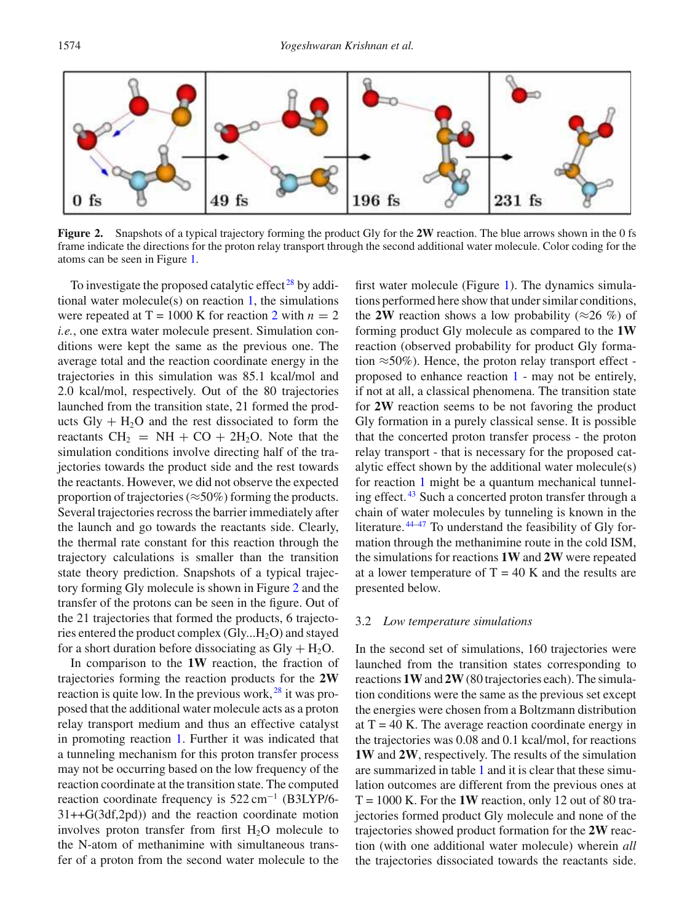

**Figure 2.** Snapshots of a typical trajectory forming the product Gly for the **2W** reaction. The blue arrows shown in the 0 fs frame indicate the directions for the proton relay transport through the second additional water molecule. Color coding for the atoms can be seen in Figure 1.

To investigate the proposed catalytic effect<sup>28</sup> by additional water molecule(s) on reaction 1, the simulations were repeated at  $T = 1000$  K for reaction 2 with  $n = 2$ *i.e.*, one extra water molecule present. Simulation conditions were kept the same as the previous one. The average total and the reaction coordinate energy in the trajectories in this simulation was 85.1 kcal/mol and 2.0 kcal/mol, respectively. Out of the 80 trajectories launched from the transition state, 21 formed the products  $\text{Gly} + \text{H}_2\text{O}$  and the rest dissociated to form the reactants  $CH_2 = NH + CO + 2H_2O$ . Note that the simulation conditions involve directing half of the trajectories towards the product side and the rest towards the reactants. However, we did not observe the expected proportion of trajectories ( $\approx$ 50%) forming the products. Several trajectories recross the barrier immediately after the launch and go towards the reactants side. Clearly, the thermal rate constant for this reaction through the trajectory calculations is smaller than the transition state theory prediction. Snapshots of a typical trajectory forming Gly molecule is shown in Figure 2 and the transfer of the protons can be seen in the figure. Out of the 21 trajectories that formed the products, 6 trajectories entered the product complex  $(Gly...H_2O)$  and stayed for a short duration before dissociating as  $Gly + H<sub>2</sub>O$ .

In comparison to the **1W** reaction, the fraction of trajectories forming the reaction products for the **2W** reaction is quite low. In the previous work, <sup>28</sup> it was proposed that the additional water molecule acts as a proton relay transport medium and thus an effective catalyst in promoting reaction 1. Further it was indicated that a tunneling mechanism for this proton transfer process may not be occurring based on the low frequency of the reaction coordinate at the transition state. The computed reaction coordinate frequency is 522 cm<sup>−</sup><sup>1</sup> (B3LYP/6- 31++G(3df,2pd)) and the reaction coordinate motion involves proton transfer from first  $H_2O$  molecule to the N-atom of methanimine with simultaneous transfer of a proton from the second water molecule to the first water molecule (Figure 1). The dynamics simulations performed here show that under similar conditions, the **2W** reaction shows a low probability ( $\approx$ 26 %) of forming product Gly molecule as compared to the **1W** reaction (observed probability for product Gly formation  $\approx$  50%). Hence, the proton relay transport effect proposed to enhance reaction 1 - may not be entirely, if not at all, a classical phenomena. The transition state for **2W** reaction seems to be not favoring the product Gly formation in a purely classical sense. It is possible that the concerted proton transfer process - the proton relay transport - that is necessary for the proposed catalytic effect shown by the additional water molecule(s) for reaction 1 might be a quantum mechanical tunneling effect. <sup>43</sup> Such a concerted proton transfer through a chain of water molecules by tunneling is known in the literature.  $44-47$  To understand the feasibility of Gly formation through the methanimine route in the cold ISM, the simulations for reactions **1W** and **2W** were repeated at a lower temperature of  $T = 40$  K and the results are presented below.

#### 3.2 *Low temperature simulations*

In the second set of simulations, 160 trajectories were launched from the transition states corresponding to reactions **1W**and **2W**(80 trajectories each). The simulation conditions were the same as the previous set except the energies were chosen from a Boltzmann distribution at  $T = 40$  K. The average reaction coordinate energy in the trajectories was 0.08 and 0.1 kcal/mol, for reactions **1W** and **2W**, respectively. The results of the simulation are summarized in table 1 and it is clear that these simulation outcomes are different from the previous ones at  $T = 1000$  K. For the **1W** reaction, only 12 out of 80 trajectories formed product Gly molecule and none of the trajectories showed product formation for the **2W** reaction (with one additional water molecule) wherein *all* the trajectories dissociated towards the reactants side.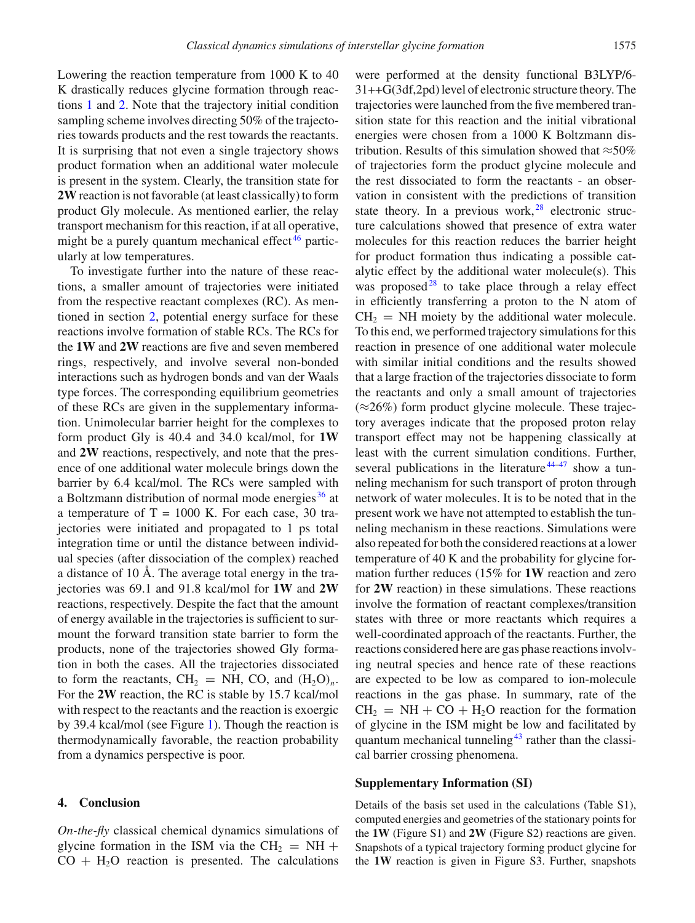Lowering the reaction temperature from 1000 K to 40 K drastically reduces glycine formation through reactions 1 and 2. Note that the trajectory initial condition sampling scheme involves directing 50% of the trajectories towards products and the rest towards the reactants. It is surprising that not even a single trajectory shows product formation when an additional water molecule is present in the system. Clearly, the transition state for **2W**reaction is not favorable (at least classically) to form product Gly molecule. As mentioned earlier, the relay transport mechanism for this reaction, if at all operative, might be a purely quantum mechanical effect<sup>46</sup> particularly at low temperatures.

To investigate further into the nature of these reactions, a smaller amount of trajectories were initiated from the respective reactant complexes (RC). As mentioned in section 2, potential energy surface for these reactions involve formation of stable RCs. The RCs for the **1W** and **2W** reactions are five and seven membered rings, respectively, and involve several non-bonded interactions such as hydrogen bonds and van der Waals type forces. The corresponding equilibrium geometries of these RCs are given in the supplementary information. Unimolecular barrier height for the complexes to form product Gly is 40.4 and 34.0 kcal/mol, for **1W** and **2W** reactions, respectively, and note that the presence of one additional water molecule brings down the barrier by 6.4 kcal/mol. The RCs were sampled with a Boltzmann distribution of normal mode energies <sup>36</sup> at a temperature of  $T = 1000$  K. For each case, 30 trajectories were initiated and propagated to 1 ps total integration time or until the distance between individual species (after dissociation of the complex) reached a distance of 10 Å. The average total energy in the trajectories was 69.1 and 91.8 kcal/mol for **1W** and **2W** reactions, respectively. Despite the fact that the amount of energy available in the trajectories is sufficient to surmount the forward transition state barrier to form the products, none of the trajectories showed Gly formation in both the cases. All the trajectories dissociated to form the reactants,  $CH_2 = NH$ , CO, and  $(H_2O)<sub>n</sub>$ . For the **2W** reaction, the RC is stable by 15.7 kcal/mol with respect to the reactants and the reaction is exoergic by 39.4 kcal/mol (see Figure 1). Though the reaction is thermodynamically favorable, the reaction probability from a dynamics perspective is poor.

## **4. Conclusion**

*On-the-fly* classical chemical dynamics simulations of glycine formation in the ISM via the  $CH_2 = NH +$  $CO + H<sub>2</sub>O$  reaction is presented. The calculations were performed at the density functional B3LYP/6- 31++G(3df,2pd) level of electronic structure theory. The trajectories were launched from the five membered transition state for this reaction and the initial vibrational energies were chosen from a 1000 K Boltzmann distribution. Results of this simulation showed that  $\approx$ 50% of trajectories form the product glycine molecule and the rest dissociated to form the reactants - an observation in consistent with the predictions of transition state theory. In a previous work,  $28$  electronic structure calculations showed that presence of extra water molecules for this reaction reduces the barrier height for product formation thus indicating a possible catalytic effect by the additional water molecule(s). This was proposed<sup>28</sup> to take place through a relay effect in efficiently transferring a proton to the N atom of  $CH<sub>2</sub>$  = NH moiety by the additional water molecule. To this end, we performed trajectory simulations for this reaction in presence of one additional water molecule with similar initial conditions and the results showed that a large fraction of the trajectories dissociate to form the reactants and only a small amount of trajectories  $(\approx 26\%)$  form product glycine molecule. These trajectory averages indicate that the proposed proton relay transport effect may not be happening classically at least with the current simulation conditions. Further, several publications in the literature  $44-47$  show a tunneling mechanism for such transport of proton through network of water molecules. It is to be noted that in the present work we have not attempted to establish the tunneling mechanism in these reactions. Simulations were also repeated for both the considered reactions at a lower temperature of 40 K and the probability for glycine formation further reduces (15% for **1W** reaction and zero for **2W** reaction) in these simulations. These reactions involve the formation of reactant complexes/transition states with three or more reactants which requires a well-coordinated approach of the reactants. Further, the reactions considered here are gas phase reactions involving neutral species and hence rate of these reactions are expected to be low as compared to ion-molecule reactions in the gas phase. In summary, rate of the  $CH<sub>2</sub>$  = NH + CO + H<sub>2</sub>O reaction for the formation of glycine in the ISM might be low and facilitated by quantum mechanical tunneling<sup>43</sup> rather than the classical barrier crossing phenomena.

# **Supplementary Information (SI)**

Details of the basis set used in the calculations (Table S1), computed energies and geometries of the stationary points for the **1W** (Figure S1) and **2W** (Figure S2) reactions are given. Snapshots of a typical trajectory forming product glycine for the **1W** reaction is given in Figure S3. Further, snapshots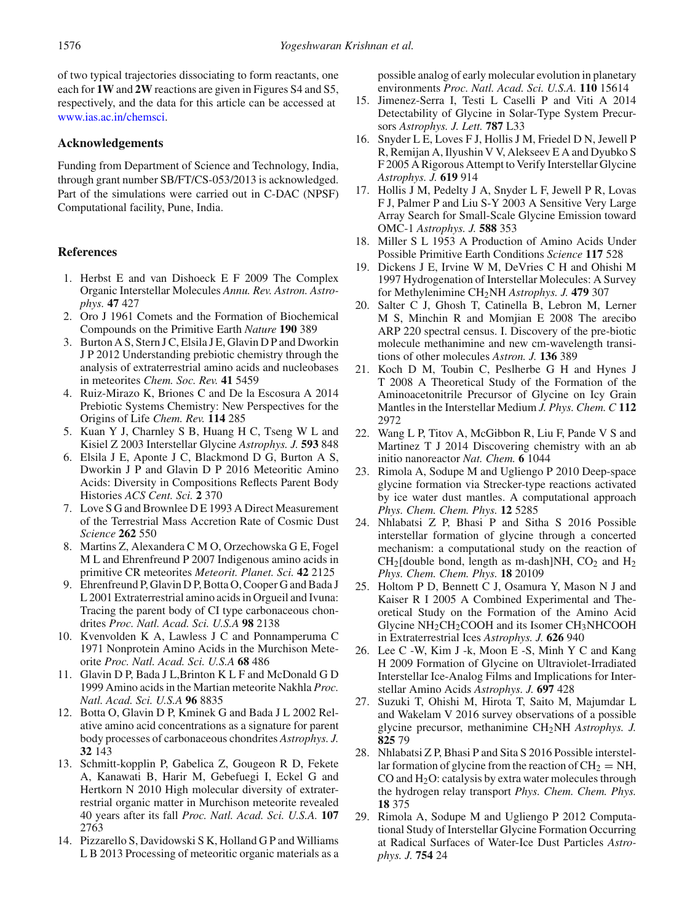of two typical trajectories dissociating to form reactants, one each for **1W** and **2W** reactions are given in Figures S4 and S5, respectively, and the data for this article can be accessed at www.ias.ac.in/chemsci.

# **Acknowledgements**

Funding from Department of Science and Technology, India, through grant number SB/FT/CS-053/2013 is acknowledged. Part of the simulations were carried out in C-DAC (NPSF) Computational facility, Pune, India.

# **References**

- 1. Herbst E and van Dishoeck E F 2009 The Complex Organic Interstellar Molecules *Annu. Rev. Astron. Astrophys.* **47** 427
- 2. Oro J 1961 Comets and the Formation of Biochemical Compounds on the Primitive Earth *Nature* **190** 389
- 3. Burton A S, Stern J C, Elsila J E, Glavin D P and Dworkin J P 2012 Understanding prebiotic chemistry through the analysis of extraterrestrial amino acids and nucleobases in meteorites *Chem. Soc. Rev.* **41** 5459
- 4. Ruiz-Mirazo K, Briones C and De la Escosura A 2014 Prebiotic Systems Chemistry: New Perspectives for the Origins of Life *Chem. Rev.* **114** 285
- 5. Kuan Y J, Charnley S B, Huang H C, Tseng W L and Kisiel Z 2003 Interstellar Glycine *Astrophys. J.* **593** 848
- 6. Elsila J E, Aponte J C, Blackmond D G, Burton A S, Dworkin J P and Glavin D P 2016 Meteoritic Amino Acids: Diversity in Compositions Reflects Parent Body Histories *ACS Cent. Sci.* **2** 370
- 7. Love S G and Brownlee D E 1993 A Direct Measurement of the Terrestrial Mass Accretion Rate of Cosmic Dust *Science* **262** 550
- 8. Martins Z, Alexandera C M O, Orzechowska G E, Fogel M L and Ehrenfreund P 2007 Indigenous amino acids in primitive CR meteorites *Meteorit. Planet. Sci.* **42** 2125
- 9. Ehrenfreund P, Glavin D P, Botta O, Cooper G and Bada J L 2001 Extraterrestrial amino acids in Orgueil and Ivuna: Tracing the parent body of CI type carbonaceous chondrites *Proc. Natl. Acad. Sci. U.S.A* **98** 2138
- 10. Kvenvolden K A, Lawless J C and Ponnamperuma C 1971 Nonprotein Amino Acids in the Murchison Meteorite *Proc. Natl. Acad. Sci. U.S.A* **68** 486
- 11. Glavin D P, Bada J L,Brinton K L F and McDonald G D 1999 Amino acids in the Martian meteorite Nakhla *Proc. Natl. Acad. Sci. U.S.A* **96** 8835
- 12. Botta O, Glavin D P, Kminek G and Bada J L 2002 Relative amino acid concentrations as a signature for parent body processes of carbonaceous chondrites *Astrophys. J.* **32** 143
- 13. Schmitt-kopplin P, Gabelica Z, Gougeon R D, Fekete A, Kanawati B, Harir M, Gebefuegi I, Eckel G and Hertkorn N 2010 High molecular diversity of extraterrestrial organic matter in Murchison meteorite revealed 40 years after its fall *Proc. Natl. Acad. Sci. U.S.A.* **107** 2763
- 14. Pizzarello S, Davidowski S K, Holland G P and Williams L B 2013 Processing of meteoritic organic materials as a

possible analog of early molecular evolution in planetary environments *Proc. Natl. Acad. Sci. U.S.A.* **110** 15614

- 15. Jimenez-Serra I, Testi L Caselli P and Viti A 2014 Detectability of Glycine in Solar-Type System Precursors *Astrophys. J. Lett.* **787** L33
- 16. Snyder L E, Loves F J, Hollis J M, Friedel D N, Jewell P R, Remijan A, Ilyushin V V, Alekseev E A and Dyubko S F 2005 A Rigorous Attempt to Verify Interstellar Glycine *Astrophys. J.* **619** 914
- 17. Hollis J M, Pedelty J A, Snyder L F, Jewell P R, Lovas F J, Palmer P and Liu S-Y 2003 A Sensitive Very Large Array Search for Small-Scale Glycine Emission toward OMC-1 *Astrophys. J.* **588** 353
- 18. Miller S L 1953 A Production of Amino Acids Under Possible Primitive Earth Conditions *Science* **117** 528
- 19. Dickens J E, Irvine W M, DeVries C H and Ohishi M 1997 Hydrogenation of Interstellar Molecules: A Survey for Methylenimine CH2NH *Astrophys. J.* **479** 307
- 20. Salter C J, Ghosh T, Catinella B, Lebron M, Lerner M S, Minchin R and Momjian E 2008 The arecibo ARP 220 spectral census. I. Discovery of the pre-biotic molecule methanimine and new cm-wavelength transitions of other molecules *Astron. J.* **136** 389
- 21. Koch D M, Toubin C, Peslherbe G H and Hynes J T 2008 A Theoretical Study of the Formation of the Aminoacetonitrile Precursor of Glycine on Icy Grain Mantles in the Interstellar Medium *J. Phys. Chem. C* **112** 2972
- 22. Wang L P, Titov A, McGibbon R, Liu F, Pande V S and Martinez T J 2014 Discovering chemistry with an ab initio nanoreactor *Nat. Chem.* **6** 1044
- 23. Rimola A, Sodupe M and Ugliengo P 2010 Deep-space glycine formation via Strecker-type reactions activated by ice water dust mantles. A computational approach *Phys. Chem. Chem. Phys.* **12** 5285
- 24. Nhlabatsi Z P, Bhasi P and Sitha S 2016 Possible interstellar formation of glycine through a concerted mechanism: a computational study on the reaction of  $CH<sub>2</sub>[double bond, length as m-dash]NH, CO<sub>2</sub> and H<sub>2</sub>$ *Phys. Chem. Chem. Phys.* **18** 20109
- 25. Holtom P D, Bennett C J, Osamura Y, Mason N J and Kaiser R I 2005 A Combined Experimental and Theoretical Study on the Formation of the Amino Acid Glycine NH2CH2COOH and its Isomer CH3NHCOOH in Extraterrestrial Ices *Astrophys. J.* **626** 940
- 26. Lee C -W, Kim J -k, Moon E -S, Minh Y C and Kang H 2009 Formation of Glycine on Ultraviolet-Irradiated Interstellar Ice-Analog Films and Implications for Interstellar Amino Acids *Astrophys. J.* **697** 428
- 27. Suzuki T, Ohishi M, Hirota T, Saito M, Majumdar L and Wakelam V 2016 survey observations of a possible glycine precursor, methanimine CH2NH *Astrophys. J.* **825** 79
- 28. Nhlabatsi Z P, Bhasi P and Sita S 2016 Possible interstellar formation of glycine from the reaction of  $CH_2 = NH$ , CO and  $H_2O$ : catalysis by extra water molecules through the hydrogen relay transport *Phys. Chem. Chem. Phys.* **18** 375
- 29. Rimola A, Sodupe M and Ugliengo P 2012 Computational Study of Interstellar Glycine Formation Occurring at Radical Surfaces of Water-Ice Dust Particles *Astrophys. J.* **754** 24